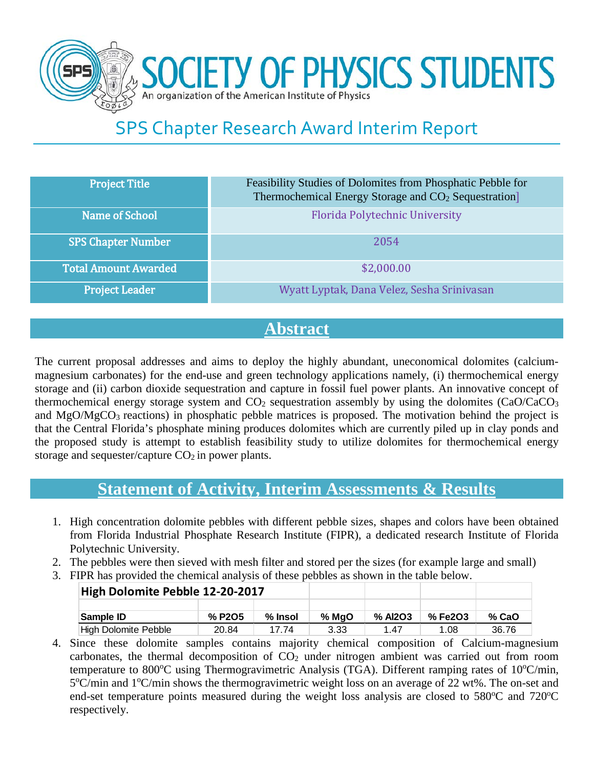

## SPS Chapter Research Award Interim Report

| <b>Project Title</b>        | Feasibility Studies of Dolomites from Phosphatic Pebble for<br>Thermochemical Energy Storage and CO <sub>2</sub> Sequestration] |
|-----------------------------|---------------------------------------------------------------------------------------------------------------------------------|
| Name of School              | Florida Polytechnic University                                                                                                  |
| <b>SPS Chapter Number</b>   | 2054                                                                                                                            |
| <b>Total Amount Awarded</b> | \$2,000.00                                                                                                                      |
| <b>Project Leader</b>       | Wyatt Lyptak, Dana Velez, Sesha Srinivasan                                                                                      |

## **Abstract**

The current proposal addresses and aims to deploy the highly abundant, uneconomical dolomites (calciummagnesium carbonates) for the end-use and green technology applications namely, (i) thermochemical energy storage and (ii) carbon dioxide sequestration and capture in fossil fuel power plants. An innovative concept of thermochemical energy storage system and  $CO<sub>2</sub>$  sequestration assembly by using the dolomites (CaO/CaCO<sub>3</sub>) and  $MgO/MgCO<sub>3</sub>$  reactions) in phosphatic pebble matrices is proposed. The motivation behind the project is that the Central Florida's phosphate mining produces dolomites which are currently piled up in clay ponds and the proposed study is attempt to establish feasibility study to utilize dolomites for thermochemical energy storage and sequester/capture  $CO<sub>2</sub>$  in power plants.

## **Statement of Activity, Interim Assessments & Results**

- 1. High concentration dolomite pebbles with different pebble sizes, shapes and colors have been obtained from Florida Industrial Phosphate Research Institute (FIPR), a dedicated research Institute of Florida Polytechnic University.
- 2. The pebbles were then sieved with mesh filter and stored per the sizes (for example large and small)
- 3. FIPR has provided the chemical analysis of these pebbles as shown in the table below.

| High Dolomite Pebble 12-20-2017 |                                 |         |         |         |         |         |
|---------------------------------|---------------------------------|---------|---------|---------|---------|---------|
|                                 |                                 |         |         |         |         |         |
| Sample ID                       | % P <sub>2</sub> O <sub>5</sub> | % Insol | $%$ MaO | % AI2O3 | % Fe2O3 | $%$ CaO |
| High Dolomite Pebble            | 20.84                           | 17 74   | 3.33    | 1.47    | 1.08    | 36.76   |

4. Since these dolomite samples contains majority chemical composition of Calcium-magnesium carbonates, the thermal decomposition of  $CO<sub>2</sub>$  under nitrogen ambient was carried out from room temperature to 800°C using Thermogravimetric Analysis (TGA). Different ramping rates of 10°C/min, 5°C/min and 1°C/min shows the thermogravimetric weight loss on an average of 22 wt%. The on-set and end-set temperature points measured during the weight loss analysis are closed to 580°C and 720°C respectively.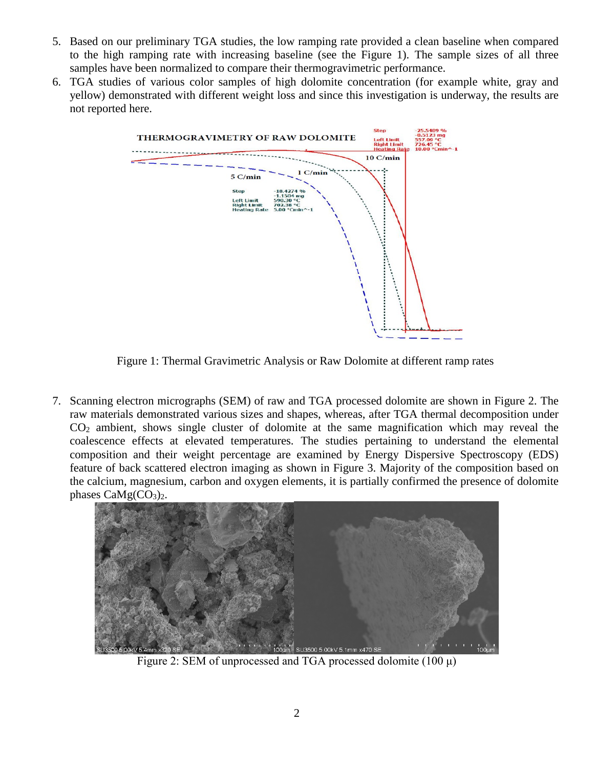- 5. Based on our preliminary TGA studies, the low ramping rate provided a clean baseline when compared to the high ramping rate with increasing baseline (see the Figure 1). The sample sizes of all three samples have been normalized to compare their thermogravimetric performance.
- 6. TGA studies of various color samples of high dolomite concentration (for example white, gray and yellow) demonstrated with different weight loss and since this investigation is underway, the results are not reported here.



Figure 1: Thermal Gravimetric Analysis or Raw Dolomite at different ramp rates

7. Scanning electron micrographs (SEM) of raw and TGA processed dolomite are shown in Figure 2. The raw materials demonstrated various sizes and shapes, whereas, after TGA thermal decomposition under CO2 ambient, shows single cluster of dolomite at the same magnification which may reveal the coalescence effects at elevated temperatures. The studies pertaining to understand the elemental composition and their weight percentage are examined by Energy Dispersive Spectroscopy (EDS) feature of back scattered electron imaging as shown in Figure 3. Majority of the composition based on the calcium, magnesium, carbon and oxygen elements, it is partially confirmed the presence of dolomite phases  $CaMg(CO<sub>3</sub>)<sub>2</sub>$ .



Figure 2: SEM of unprocessed and TGA processed dolomite  $(100 \mu)$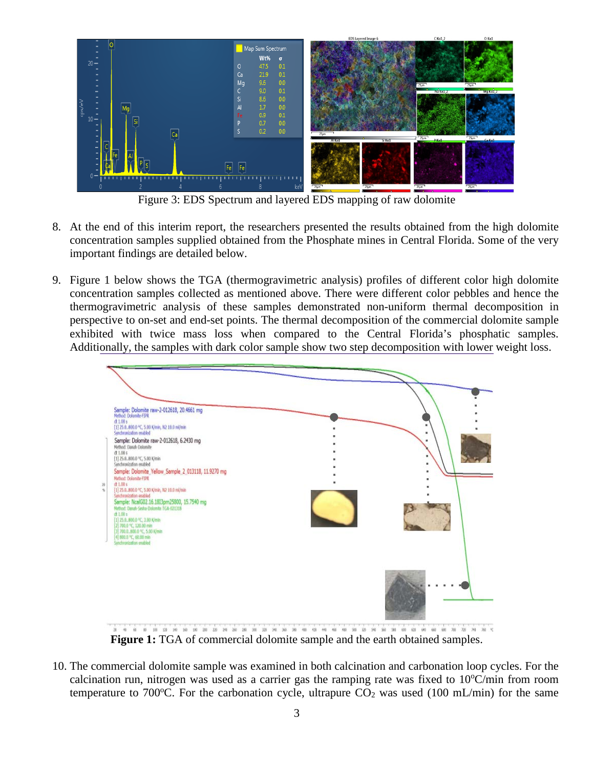

Figure 3: EDS Spectrum and layered EDS mapping of raw dolomite

- 8. At the end of this interim report, the researchers presented the results obtained from the high dolomite concentration samples supplied obtained from the Phosphate mines in Central Florida. Some of the very important findings are detailed below.
- 9. Figure 1 below shows the TGA (thermogravimetric analysis) profiles of different color high dolomite concentration samples collected as mentioned above. There were different color pebbles and hence the thermogravimetric analysis of these samples demonstrated non-uniform thermal decomposition in perspective to on-set and end-set points. The thermal decomposition of the commercial dolomite sample exhibited with twice mass loss when compared to the Central Florida's phosphatic samples. Additionally, the samples with dark color sample show two step decomposition with lower weight loss.



**Figure 1:** TGA of commercial dolomite sample and the earth obtained samples.

10. The commercial dolomite sample was examined in both calcination and carbonation loop cycles. For the calcination run, nitrogen was used as a carrier gas the ramping rate was fixed to  $10^{\circ}$ C/min from room temperature to 700°C. For the carbonation cycle, ultrapure  $CO<sub>2</sub>$  was used (100 mL/min) for the same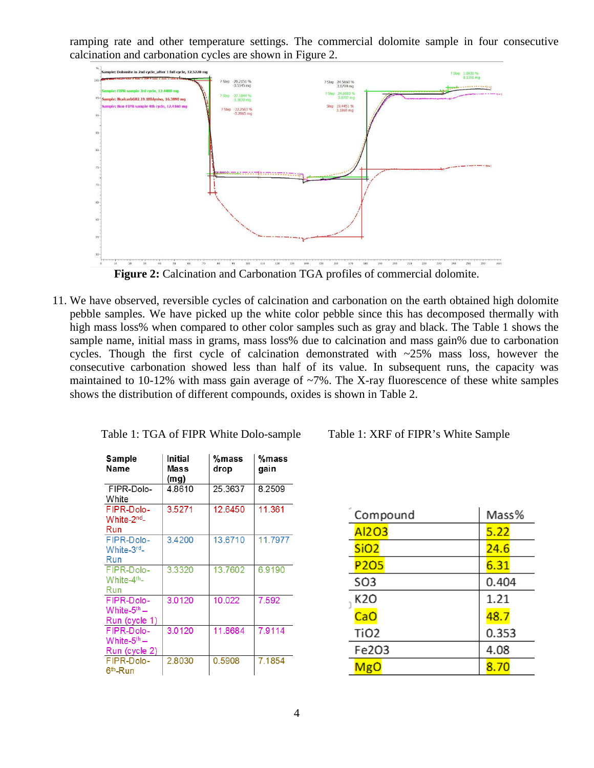ramping rate and other temperature settings. The commercial dolomite sample in four consecutive calcination and carbonation cycles are shown in Figure 2.



Figure 2: Calcination and Carbonation TGA profiles of commercial dolomite.

11. We have observed, reversible cycles of calcination and carbonation on the earth obtained high dolomite pebble samples. We have picked up the white color pebble since this has decomposed thermally with high mass loss% when compared to other color samples such as gray and black. The Table 1 shows the sample name, initial mass in grams, mass loss% due to calcination and mass gain% due to carbonation cycles. Though the first cycle of calcination demonstrated with  $\sim$ 25% mass loss, however the consecutive carbonation showed less than half of its value. In subsequent runs, the capacity was maintained to 10-12% with mass gain average of  $\sim$ 7%. The X-ray fluorescence of these white samples shows the distribution of different compounds, oxides is shown in Table 2.

| Sample<br>Name                                       | <b>Initial</b><br>Mass<br>(mg) | %mass<br>drop | %mass<br>gain |
|------------------------------------------------------|--------------------------------|---------------|---------------|
| FIPR-Dolo-<br>White                                  | 4.8610                         | 25.3637       | 8.2509        |
| FIPR-Dolo-<br>White-2 <sup>nd</sup> -<br>Run         | 3.5271                         | 12.6450       | 11.361        |
| FIPR-Dolo-<br>White-3rd-<br>Run                      | 3.4200                         | 13.6710       | 11.7977       |
| FIPR-Dolo-<br>White-4 <sup>th</sup> -<br>Run         | 3.3320                         | 13.7602       | 6.9190        |
| FIPR-Dolo-<br>White- $5^{\rm th}$ –<br>Run (cycle 1) | 3.0120                         | 10.022        | 7.592         |
| FIPR-Dolo-<br>White- $5th$ –<br>Run (cycle 2)        | 3.0120                         | 11.8684       | 7.9114        |
| FIPR-Dolo-<br>6 <sup>th</sup> -Run                   | 2.8030                         | 0.5908        | 7.1854        |

Table 1: TGA of FIPR White Dolo-sample Table 1: XRF of FIPR's White Sample

| Compound         | Mass% |  |
|------------------|-------|--|
| Al203            | 5.22  |  |
| SiO <sub>2</sub> | 24.6  |  |
| P <sub>205</sub> | 6.31  |  |
| <b>SO3</b>       | 0.404 |  |
| K20              | 1.21  |  |
| CaO              | 48.7  |  |
| <b>TiO2</b>      | 0.353 |  |
| Fe203            | 4.08  |  |
| MgO              | 8.70  |  |